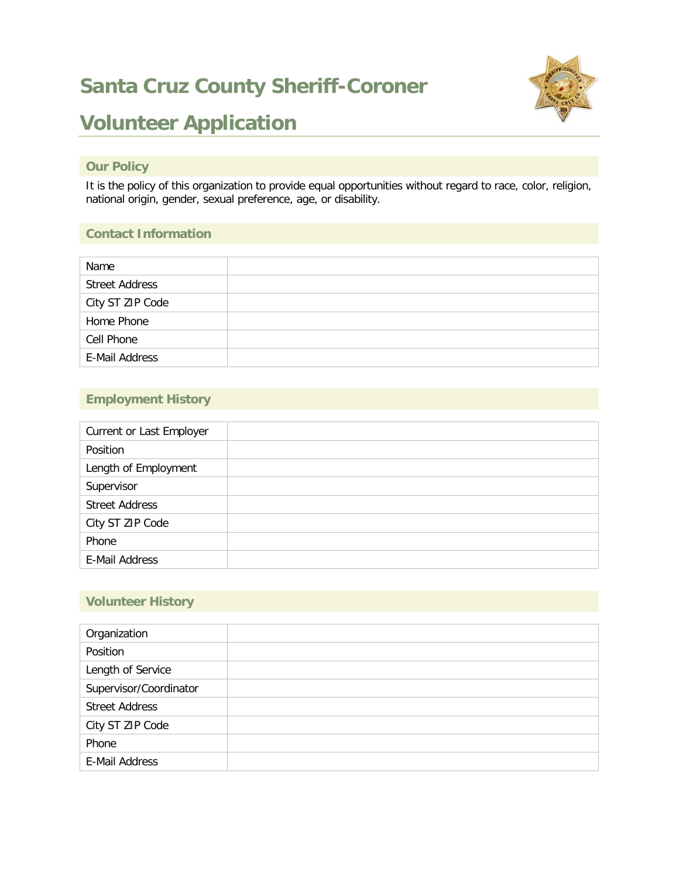## **Santa Cruz County Sheriff-Coroner**



## **Volunteer Application**

#### **Our Policy**

It is the policy of this organization to provide equal opportunities without regard to race, color, religion, national origin, gender, sexual preference, age, or disability.

#### **Contact Information**

| Name                  |  |
|-----------------------|--|
| <b>Street Address</b> |  |
| City ST ZIP Code      |  |
| Home Phone            |  |
| Cell Phone            |  |
| E-Mail Address        |  |

#### **Employment History**

| Current or Last Employer |  |
|--------------------------|--|
| Position                 |  |
| Length of Employment     |  |
| Supervisor               |  |
| <b>Street Address</b>    |  |
| City ST ZIP Code         |  |
| Phone                    |  |
| E-Mail Address           |  |

#### **Volunteer History**

| Organization           |  |
|------------------------|--|
| Position               |  |
| Length of Service      |  |
| Supervisor/Coordinator |  |
| <b>Street Address</b>  |  |
| City ST ZIP Code       |  |
| Phone                  |  |
| E-Mail Address         |  |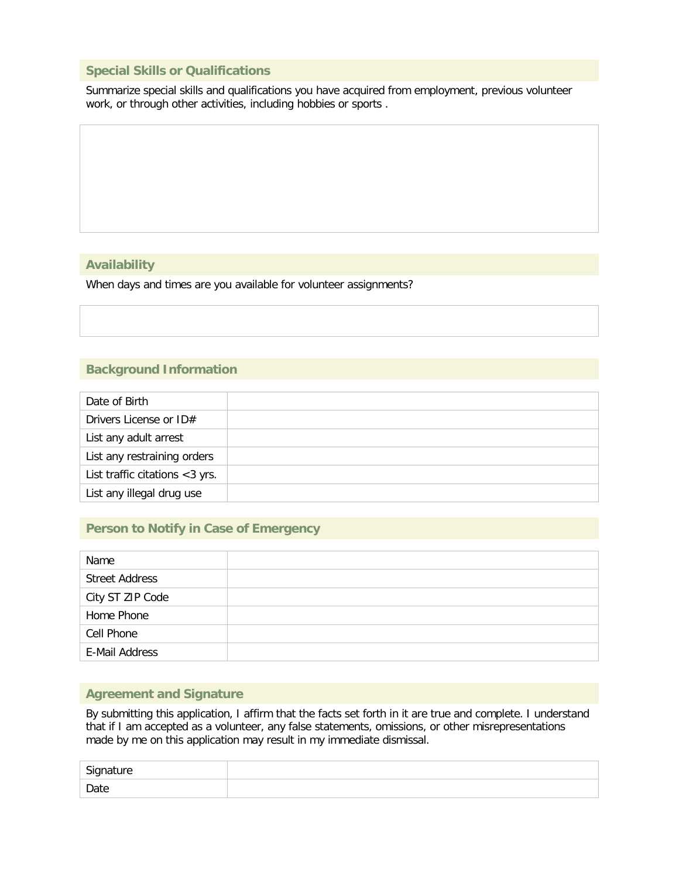#### **Special Skills or Qualifications**

Summarize special skills and qualifications you have acquired from employment, previous volunteer work, or through other activities, including hobbies or sports .

#### **Availability**

When days and times are you available for volunteer assignments?

#### **Background Information**

| Date of Birth                  |  |
|--------------------------------|--|
| Drivers License or ID#         |  |
| List any adult arrest          |  |
| List any restraining orders    |  |
| List traffic citations <3 yrs. |  |
| List any illegal drug use      |  |

#### **Person to Notify in Case of Emergency**

| Name                  |  |
|-----------------------|--|
| <b>Street Address</b> |  |
| City ST ZIP Code      |  |
| Home Phone            |  |
| Cell Phone            |  |
| E-Mail Address        |  |

#### **Agreement and Signature**

By submitting this application, I affirm that the facts set forth in it are true and complete. I understand that if I am accepted as a volunteer, any false statements, omissions, or other misrepresentations made by me on this application may result in my immediate dismissal.

| Signature |  |
|-----------|--|
| Date      |  |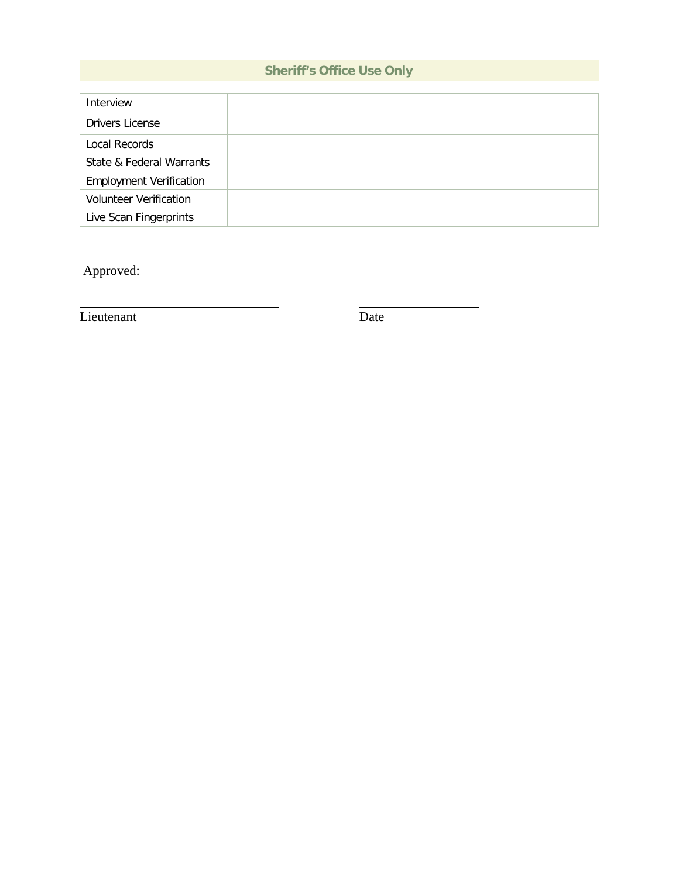### **Sheriff's Office Use Only**

| Interview                      |  |
|--------------------------------|--|
| Drivers License                |  |
| Local Records                  |  |
| State & Federal Warrants       |  |
| <b>Employment Verification</b> |  |
| <b>Volunteer Verification</b>  |  |
| Live Scan Fingerprints         |  |

Approved:

Lieutenant Date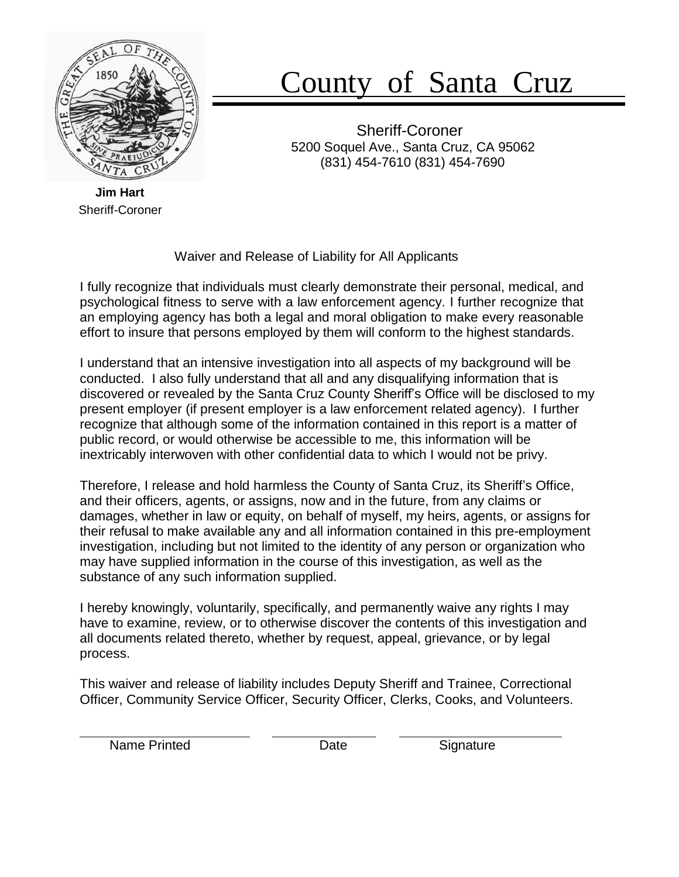

# County of Santa Cruz

Sheriff-Coroner 5200 Soquel Ave., Santa Cruz, CA 95062 (831) 454-7610 (831) 454-7690

**Jim Hart** Sheriff-Coroner

Waiver and Release of Liability for All Applicants

I fully recognize that individuals must clearly demonstrate their personal, medical, and psychological fitness to serve with a law enforcement agency. I further recognize that an employing agency has both a legal and moral obligation to make every reasonable effort to insure that persons employed by them will conform to the highest standards.

I understand that an intensive investigation into all aspects of my background will be conducted. I also fully understand that all and any disqualifying information that is discovered or revealed by the Santa Cruz County Sheriff's Office will be disclosed to my present employer (if present employer is a law enforcement related agency). I further recognize that although some of the information contained in this report is a matter of public record, or would otherwise be accessible to me, this information will be inextricably interwoven with other confidential data to which I would not be privy.

Therefore, I release and hold harmless the County of Santa Cruz, its Sheriff's Office, and their officers, agents, or assigns, now and in the future, from any claims or damages, whether in law or equity, on behalf of myself, my heirs, agents, or assigns for their refusal to make available any and all information contained in this pre-employment investigation, including but not limited to the identity of any person or organization who may have supplied information in the course of this investigation, as well as the substance of any such information supplied.

I hereby knowingly, voluntarily, specifically, and permanently waive any rights I may have to examine, review, or to otherwise discover the contents of this investigation and all documents related thereto, whether by request, appeal, grievance, or by legal process.

This waiver and release of liability includes Deputy Sheriff and Trainee, Correctional Officer, Community Service Officer, Security Officer, Clerks, Cooks, and Volunteers.

Name Printed **Date** Date Signature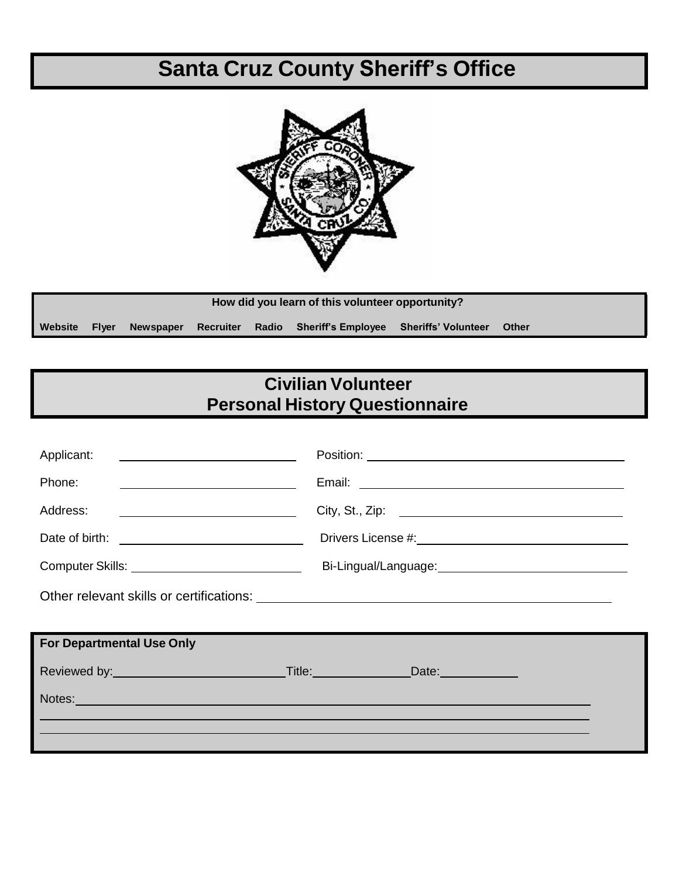## **Santa Cruz County Sheriff's Office**



|               | How did you learn of this volunteer opportunity? |  |  |                                                                  |  |              |
|---------------|--------------------------------------------------|--|--|------------------------------------------------------------------|--|--------------|
| Website Flyer |                                                  |  |  | Newspaper Recruiter Radio Sheriff's Employee Sheriffs' Volunteer |  | <b>Other</b> |

## **Civilian Volunteer Personal History Questionnaire**

| Applicant:<br><u> 1980 - John Stein, Amerikaansk politiker (</u>                                                                                                                                                               |                                                                                                                |  |  |
|--------------------------------------------------------------------------------------------------------------------------------------------------------------------------------------------------------------------------------|----------------------------------------------------------------------------------------------------------------|--|--|
| Phone:<br>the contract of the contract of the contract of the contract of the contract of                                                                                                                                      |                                                                                                                |  |  |
| Address:<br><u> 1980 - Andrea Brand, amerikansk politik (</u>                                                                                                                                                                  | City, St., Zip: 2008. 2009. 2009. 2010. 2010. 2012. 2012. 2012. 2012. 2012. 2012. 2014. 2012. 2014. 2014. 2014 |  |  |
|                                                                                                                                                                                                                                |                                                                                                                |  |  |
| Computer Skills: ________________________________                                                                                                                                                                              | Bi-Lingual/Language:<br><u>Dialongualism</u>                                                                   |  |  |
|                                                                                                                                                                                                                                |                                                                                                                |  |  |
|                                                                                                                                                                                                                                |                                                                                                                |  |  |
| <b>For Departmental Use Only</b>                                                                                                                                                                                               |                                                                                                                |  |  |
|                                                                                                                                                                                                                                |                                                                                                                |  |  |
| Notes: Notes: Notes: Notes: Notes: Notes: Notes: Notes: Notes: Notes: Notes: Notes: Notes: Notes: Notes: Notes: Notes: Notes: Notes: Notes: Notes: Notes: Notes: Notes: Notes: Notes: Notes: Notes: Notes: Notes: Notes: Notes |                                                                                                                |  |  |
|                                                                                                                                                                                                                                |                                                                                                                |  |  |
|                                                                                                                                                                                                                                |                                                                                                                |  |  |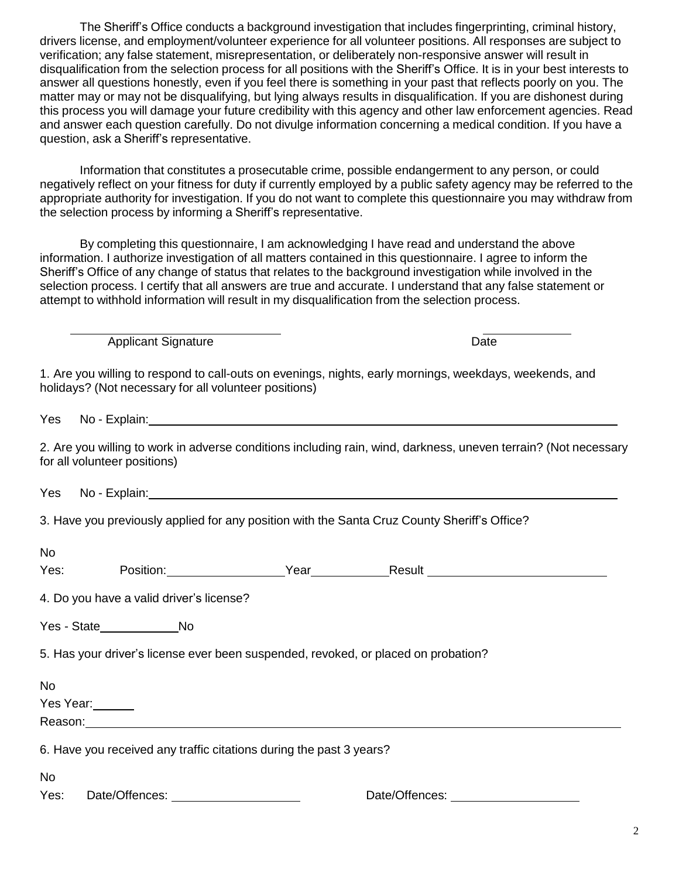The Sheriff's Office conducts a background investigation that includes fingerprinting, criminal history, drivers license, and employment/volunteer experience for all volunteer positions. All responses are subject to verification; any false statement, misrepresentation, or deliberately non-responsive answer will result in disqualification from the selection process for all positions with the Sheriff's Office. It is in your best interests to answer all questions honestly, even if you feel there is something in your past that reflects poorly on you. The matter may or may not be disqualifying, but lying always results in disqualification. If you are dishonest during this process you will damage your future credibility with this agency and other law enforcement agencies. Read and answer each question carefully. Do not divulge information concerning a medical condition. If you have a question, ask a Sheriff's representative.

Information that constitutes a prosecutable crime, possible endangerment to any person, or could negatively reflect on your fitness for duty if currently employed by a public safety agency may be referred to the appropriate authority for investigation. If you do not want to complete this questionnaire you may withdraw from the selection process by informing a Sheriff's representative.

By completing this questionnaire, I am acknowledging I have read and understand the above information. I authorize investigation of all matters contained in this questionnaire. I agree to inform the Sheriff's Office of any change of status that relates to the background investigation while involved in the selection process. I certify that all answers are true and accurate. I understand that any false statement or attempt to withhold information will result in my disqualification from the selection process.

Applicant Signature Date Date

1. Are you willing to respond to call-outs on evenings, nights, early mornings, weekdays, weekends, and holidays? (Not necessary for all volunteer positions)

Yes No - Explain:

2. Are you willing to work in adverse conditions including rain, wind, darkness, uneven terrain? (Not necessary for all volunteer positions)

Yes No - Explain:

3. Have you previously applied for any position with the Santa Cruz County Sheriff's Office?

| <b>No</b><br>Yes:      |                                          | Position: <u>Next Year Position:</u> Position:                                     |  |  |  |
|------------------------|------------------------------------------|------------------------------------------------------------------------------------|--|--|--|
|                        | 4. Do you have a valid driver's license? |                                                                                    |  |  |  |
|                        | Yes - State Mo                           |                                                                                    |  |  |  |
|                        |                                          | 5. Has your driver's license ever been suspended, revoked, or placed on probation? |  |  |  |
| <b>No</b><br>Yes Year: |                                          | Reason: <u>www.community.community.community.community.community.community.com</u> |  |  |  |
|                        |                                          | 6. Have you received any traffic citations during the past 3 years?                |  |  |  |
| <b>No</b>              |                                          |                                                                                    |  |  |  |

Yes: Date/Offences: Date/Offences: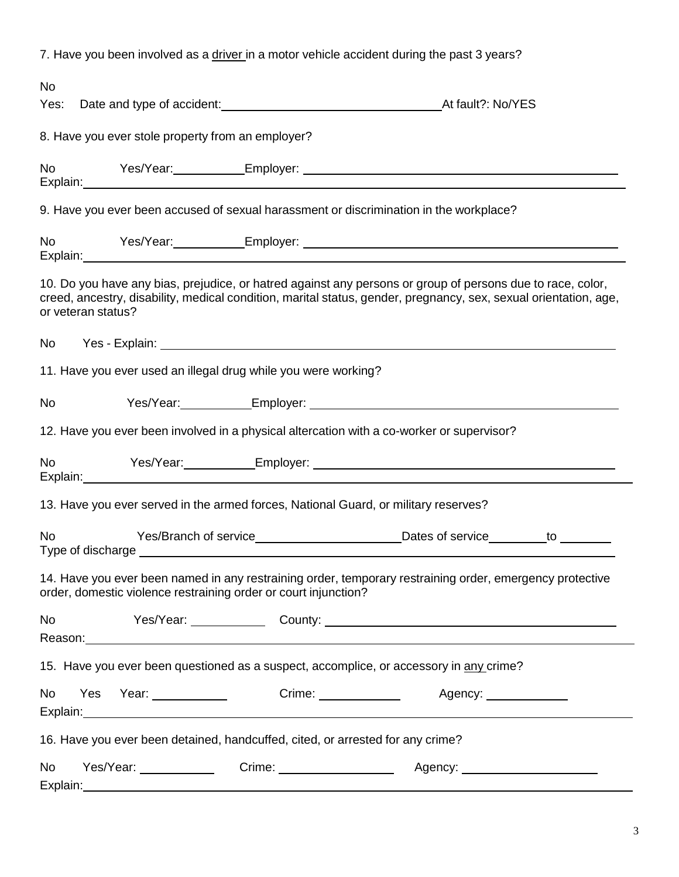7. Have you been involved as a driver in a motor vehicle accident during the past 3 years?

| <b>No</b><br>Yes:                                                                                                                                                           | Date and type of accident: Manual According to the Att fault?: No/YES                                                                                                                                                                                |  |  |  |  |  |  |
|-----------------------------------------------------------------------------------------------------------------------------------------------------------------------------|------------------------------------------------------------------------------------------------------------------------------------------------------------------------------------------------------------------------------------------------------|--|--|--|--|--|--|
|                                                                                                                                                                             | 8. Have you ever stole property from an employer?                                                                                                                                                                                                    |  |  |  |  |  |  |
| <b>No</b>                                                                                                                                                                   |                                                                                                                                                                                                                                                      |  |  |  |  |  |  |
|                                                                                                                                                                             | 9. Have you ever been accused of sexual harassment or discrimination in the workplace?                                                                                                                                                               |  |  |  |  |  |  |
|                                                                                                                                                                             | No Yes/Year: Employer: Communication Contract Communication Communication Communication Communication Communication                                                                                                                                  |  |  |  |  |  |  |
|                                                                                                                                                                             | 10. Do you have any bias, prejudice, or hatred against any persons or group of persons due to race, color,<br>creed, ancestry, disability, medical condition, marital status, gender, pregnancy, sex, sexual orientation, age,<br>or veteran status? |  |  |  |  |  |  |
| No                                                                                                                                                                          |                                                                                                                                                                                                                                                      |  |  |  |  |  |  |
|                                                                                                                                                                             | 11. Have you ever used an illegal drug while you were working?                                                                                                                                                                                       |  |  |  |  |  |  |
| <b>No</b>                                                                                                                                                                   |                                                                                                                                                                                                                                                      |  |  |  |  |  |  |
|                                                                                                                                                                             | 12. Have you ever been involved in a physical altercation with a co-worker or supervisor?                                                                                                                                                            |  |  |  |  |  |  |
| <b>No</b>                                                                                                                                                                   |                                                                                                                                                                                                                                                      |  |  |  |  |  |  |
|                                                                                                                                                                             | 13. Have you ever served in the armed forces, National Guard, or military reserves?                                                                                                                                                                  |  |  |  |  |  |  |
| <b>No</b>                                                                                                                                                                   |                                                                                                                                                                                                                                                      |  |  |  |  |  |  |
| 14. Have you ever been named in any restraining order, temporary restraining order, emergency protective<br>order, domestic violence restraining order or court injunction? |                                                                                                                                                                                                                                                      |  |  |  |  |  |  |
| No                                                                                                                                                                          | Yes/Year: County: 2000 County: 2000 County: 2000 County: 2000 County: 2000 County: 2000 County: 2000 County: 2000 County: 2000 County: 2000 County: 2000 County: 2000 County: 2000 County: 2000 County: 2000 County: 2000 Coun                       |  |  |  |  |  |  |
|                                                                                                                                                                             | 15. Have you ever been questioned as a suspect, accomplice, or accessory in any crime?                                                                                                                                                               |  |  |  |  |  |  |
| No                                                                                                                                                                          | Yes Year: ___________<br>Crime: <u>________________</u><br>Agency:<br>Explain: Explain:                                                                                                                                                              |  |  |  |  |  |  |
|                                                                                                                                                                             | 16. Have you ever been detained, handcuffed, cited, or arrested for any crime?                                                                                                                                                                       |  |  |  |  |  |  |
| <b>No</b>                                                                                                                                                                   | Yes/Year: Crime: Crime: Agency: Agency:<br>Explain: explain:                                                                                                                                                                                         |  |  |  |  |  |  |